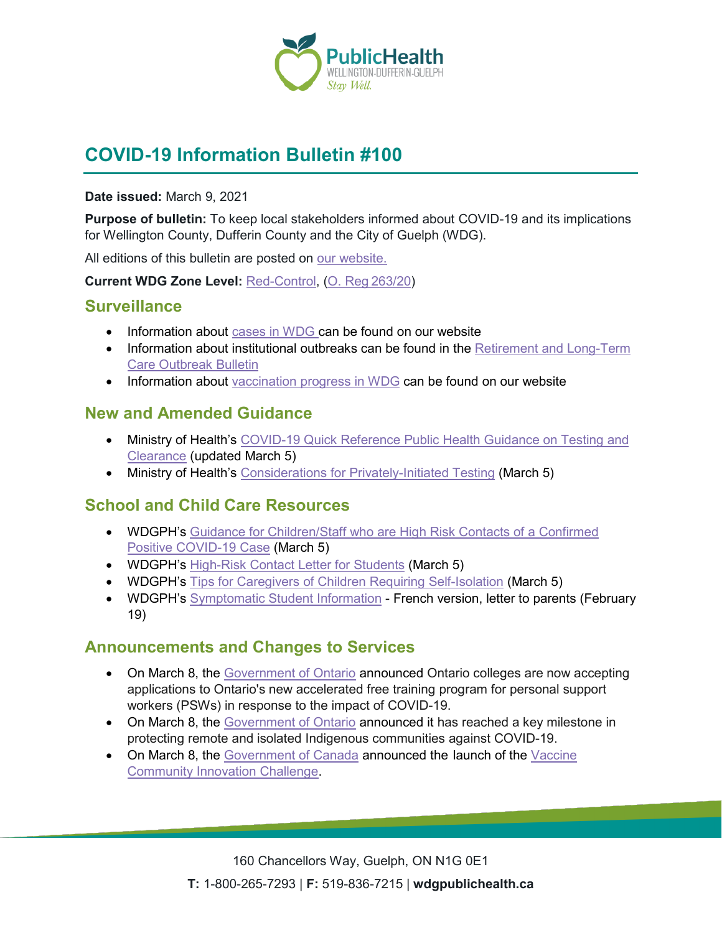

# **COVID-19 Information Bulletin #100**

#### **Date issued:** March 9, 2021

**Purpose of bulletin:** To keep local stakeholders informed about COVID-19 and its implications for Wellington County, Dufferin County and the City of Guelph (WDG).

All editions of this bulletin are posted on [our website.](https://www.wdgpublichealth.ca/your-health/covid-19-information-workplaces-and-living-spaces/community-stakeholder-bulletins)

**Current WDG Zone Level:** [Red-Control,](https://www.ontario.ca/page/covid-19-response-framework-keeping-ontario-safe-and-open#control) ([O. Reg 263/20](https://www.ontario.ca/laws/regulation/200263))

#### **Surveillance**

- Information about [cases in WDG](https://wdgpublichealth.ca/your-health/covid-19-information-public/status-cases-wdg) can be found on our website
- Information about institutional outbreaks can be found in the Retirement and Long-Term [Care Outbreak Bulletin](https://wdgpublichealth.ca/node/1542)
- Information about [vaccination progress](https://www.wdgpublichealth.ca/your-health/covid-19-information-public/covid-19-vaccine-information-public) in WDG can be found on our website

### **New and Amended Guidance**

- Ministry of Health's COVID-19 Quick Reference Public Health Guidance on Testing and [Clearance](http://www.health.gov.on.ca/en/pro/programs/publichealth/coronavirus/docs/2019_testing_clearing_cases_guidance.pdf) (updated March 5)
- Ministry of Health's [Considerations for Privately-Initiated Testing](http://www.health.gov.on.ca/en/pro/programs/publichealth/coronavirus/docs/Considerations_for_Privately-Initiated_Testing.pdf) (March 5)

## **School and Child Care Resources**

- WDGPH's [Guidance for Children/Staff who are High Risk Contacts of a Confirmed](https://www.wdgpublichealth.ca/sites/default/files/guidance_for_childrenstaff_who_are_hrc_of_positive_case_mar5.pdf)  Positive [COVID-19 Case](https://www.wdgpublichealth.ca/sites/default/files/guidance_for_childrenstaff_who_are_hrc_of_positive_case_mar5.pdf) (March 5)
- WDGPH's High-[Risk Contact Letter for Students](https://www.wdgpublichealth.ca/sites/default/files/hrc_letter_child_student_mar_5.pdf) (March 5)
- WDGPH's [Tips for Caregivers of Children Requiring](https://www.wdgpublichealth.ca/sites/default/files/memo_tips_for_caregivers_of_hrc_mar_5.pdf) Self-Isolation (March 5)
- WDGPH's [Symptomatic Student](https://www.wdgpublichealth.ca/sites/default/files/symptomatic_student_information_sheet_feb_19_2020-french_-_canadian_003.pdf) Information French version, letter to parents (February 19)

## **Announcements and Changes to Services**

- On March 8, the [Government of Ontario](https://news.ontario.ca/en/release/60593/ontario-colleges-now-accepting-applications-for-accelerated-personal-support-workers-program) announced Ontario colleges are now accepting applications to Ontario's new accelerated free training program for personal support workers (PSWs) in response to the impact of COVID-19.
- On March 8, the [Government of Ontario](https://news.ontario.ca/en/release/60596/ontario-completes-all-first-dose-covid-19-vaccinations-in-northern-remote-indigenous-communities) announced it has reached a key milestone in protecting remote and isolated Indigenous communities against COVID-19.
- On March 8, the [Government of Canada](https://www.canada.ca/en/public-health/news/2021/03/government-of-canada-launches-vaccine-community-innovation-challenge-to-support-increased-vaccine-confidence.html) announced the launch of the Vaccine [Community Innovation Challenge.](https://www.canada.ca/en/public-health/services/funding-opportunities/grant-contribution-funding-opportunities/vaccine-community-innovation-challenge.html)